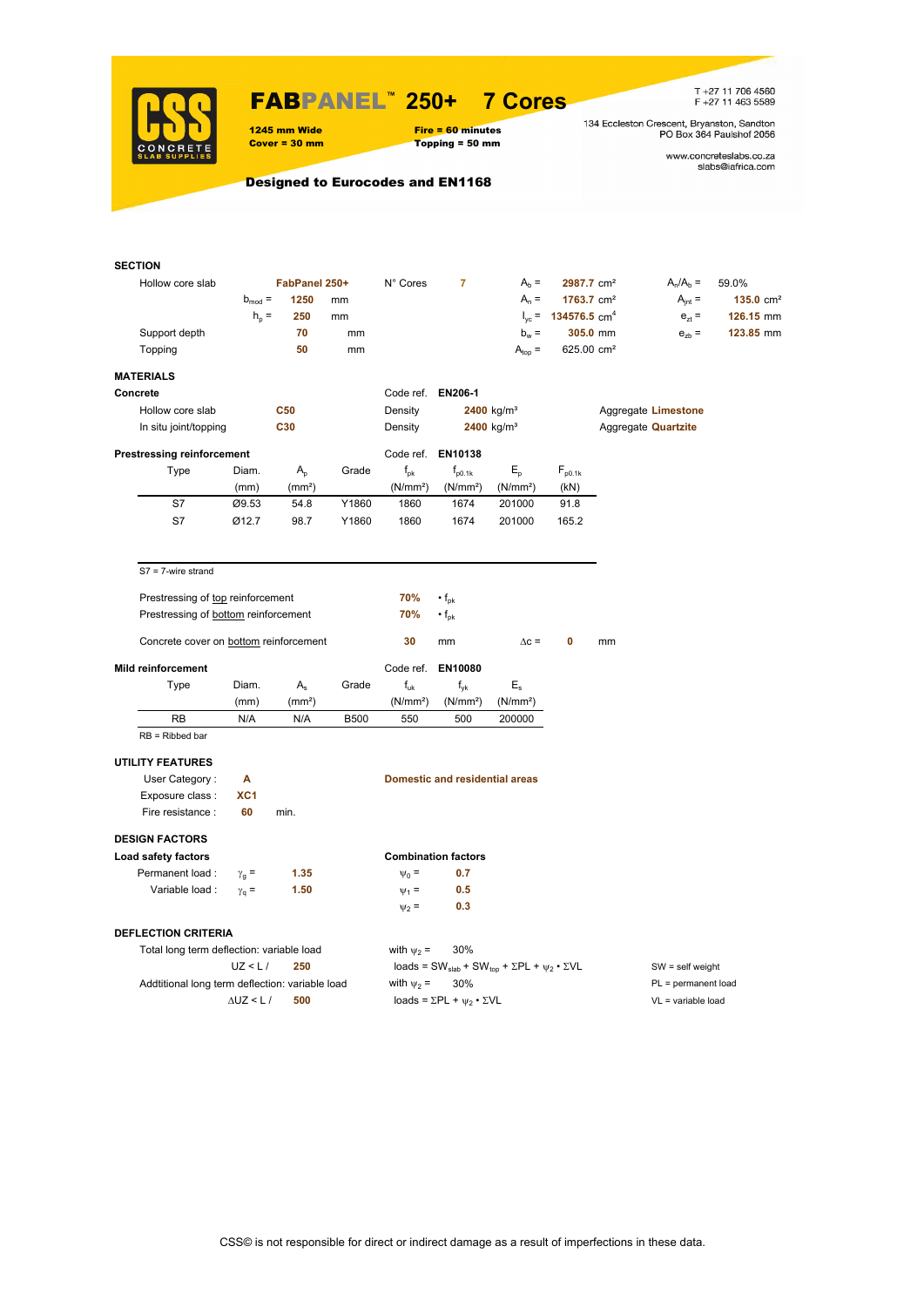

### FABPANEL**™ 250+ 7 Cores**

1245 mm Wide Fire = 60 minutes<br>
Cover = 30 mm Topping = 50 mm

 $Topping = 50 mm$ 

T +27 11 706 4560<br>F +27 11 463 5589

134 Eccleston Crescent, Bryanston, Sandton<br>PO Box 364 Paulshof 2056

www.concreteslabs.co.za<br>slabs@iafrica.com

Designed to Eurocodes and EN1168

| <b>SECTION</b>                                  |                   |                            |             |                                  |                                                                                         |                                |                                            |          |                            |                      |
|-------------------------------------------------|-------------------|----------------------------|-------------|----------------------------------|-----------------------------------------------------------------------------------------|--------------------------------|--------------------------------------------|----------|----------------------------|----------------------|
| Hollow core slab                                |                   | FabPanel 250+              |             | N° Cores                         | $\overline{7}$                                                                          | $Ab =$                         | 2987.7 cm <sup>2</sup>                     |          | $A_n/A_b =$                | 59.0%                |
|                                                 | $b_{mod}$ =       | 1250                       | mm          |                                  |                                                                                         | $A_n =$                        | $1763.7$ cm <sup>2</sup>                   |          | $A_{int} =$                | $135.0 \text{ cm}^2$ |
|                                                 | $h_{\rm p}$ =     | 250                        | mm          |                                  |                                                                                         |                                | $I_{\text{vc}}$ = 134576.5 cm <sup>4</sup> |          | $e_{7}$ =                  | 126.15 mm            |
| Support depth                                   |                   | 70                         | mm          |                                  |                                                                                         | $b_w =$                        |                                            | 305.0 mm | $e_{zb}$ =                 | 123.85 mm            |
| Topping                                         |                   | 50                         | mm          |                                  |                                                                                         | $A_{top} =$                    | 625.00 cm <sup>2</sup>                     |          |                            |                      |
| <b>MATERIALS</b>                                |                   |                            |             |                                  |                                                                                         |                                |                                            |          |                            |                      |
| Concrete                                        |                   |                            |             | Code ref. EN206-1                |                                                                                         |                                |                                            |          |                            |                      |
| Hollow core slab                                |                   | <b>C50</b>                 |             | Density                          |                                                                                         | $2400$ kg/m <sup>3</sup>       |                                            |          | Aggregate Limestone        |                      |
| In situ joint/topping                           |                   | C30                        |             | Density                          |                                                                                         | $2400$ kg/m <sup>3</sup>       |                                            |          | Aggregate <b>Quartzite</b> |                      |
| <b>Prestressing reinforcement</b>               |                   |                            |             |                                  | Code ref. EN10138                                                                       |                                |                                            |          |                            |                      |
|                                                 | Diam.             |                            | Grade       |                                  |                                                                                         |                                |                                            |          |                            |                      |
| Type                                            |                   | $A_{p}$                    |             | $f_{pk}$<br>(N/mm <sup>2</sup> ) | $f_{p0.1k}$                                                                             | $E_{\rm p}$                    | $F_{p0.1k}$<br>(kN)                        |          |                            |                      |
| S7                                              | (mm)<br>Ø9.53     | (mm <sup>2</sup> )<br>54.8 | Y1860       | 1860                             | (N/mm <sup>2</sup> )<br>1674                                                            | (N/mm <sup>2</sup> )<br>201000 | 91.8                                       |          |                            |                      |
| S7                                              | Ø12.7             | 98.7                       | Y1860       | 1860                             | 1674                                                                                    | 201000                         | 165.2                                      |          |                            |                      |
|                                                 |                   |                            |             |                                  |                                                                                         |                                |                                            |          |                            |                      |
| $S7 = 7$ -wire strand                           |                   |                            |             |                                  |                                                                                         |                                |                                            |          |                            |                      |
| Prestressing of top reinforcement               |                   |                            |             | 70%                              | $\cdot$ f <sub>pk</sub>                                                                 |                                |                                            |          |                            |                      |
| Prestressing of bottom reinforcement            |                   |                            |             | 70%                              | $\cdot f_{\rm pk}$                                                                      |                                |                                            |          |                            |                      |
|                                                 |                   |                            |             |                                  |                                                                                         |                                |                                            |          |                            |                      |
| Concrete cover on bottom reinforcement          |                   |                            |             | 30                               | mm                                                                                      | $\Delta c =$                   | 0                                          | mm       |                            |                      |
| <b>Mild reinforcement</b>                       |                   |                            |             | Code ref.                        | EN10080                                                                                 |                                |                                            |          |                            |                      |
| Type                                            | Diam.             | $A_{s}$                    | Grade       | $f_{uk}$                         | $f_{\mathsf{vk}}$                                                                       | $\mathsf{E}_\mathsf{s}$        |                                            |          |                            |                      |
|                                                 | (mm)              | (mm <sup>2</sup> )         |             | (N/mm <sup>2</sup> )             | (N/mm <sup>2</sup> )                                                                    | (N/mm <sup>2</sup> )           |                                            |          |                            |                      |
| RB                                              | N/A               | N/A                        | <b>B500</b> | 550                              | 500                                                                                     | 200000                         |                                            |          |                            |                      |
| $RB = Ribbed bar$                               |                   |                            |             |                                  |                                                                                         |                                |                                            |          |                            |                      |
| <b>UTILITY FEATURES</b>                         |                   |                            |             |                                  |                                                                                         |                                |                                            |          |                            |                      |
| User Category:                                  | A                 |                            |             |                                  | <b>Domestic and residential areas</b>                                                   |                                |                                            |          |                            |                      |
| Exposure class :                                | XC <sub>1</sub>   |                            |             |                                  |                                                                                         |                                |                                            |          |                            |                      |
| Fire resistance :                               | 60                | min.                       |             |                                  |                                                                                         |                                |                                            |          |                            |                      |
| <b>DESIGN FACTORS</b>                           |                   |                            |             |                                  |                                                                                         |                                |                                            |          |                            |                      |
| Load safety factors                             |                   |                            |             |                                  | <b>Combination factors</b>                                                              |                                |                                            |          |                            |                      |
| Permanent load:                                 | $\gamma_{q} =$    | 1.35                       |             | $\Psi_0 =$                       | 0.7                                                                                     |                                |                                            |          |                            |                      |
| Variable load :                                 | $\gamma_{q}$ =    | 1.50                       |             | $\Psi_1 =$                       | 0.5                                                                                     |                                |                                            |          |                            |                      |
|                                                 |                   |                            |             | $\psi_2 =$                       | 0.3                                                                                     |                                |                                            |          |                            |                      |
| <b>DEFLECTION CRITERIA</b>                      |                   |                            |             |                                  |                                                                                         |                                |                                            |          |                            |                      |
| Total long term deflection: variable load       |                   |                            |             | with $\psi_2$ =                  | 30%                                                                                     |                                |                                            |          |                            |                      |
|                                                 | UZ < L/           | 250                        |             |                                  | loads = SW <sub>slab</sub> + SW <sub>top</sub> + $\Sigma$ PL + $\psi_2 \cdot \Sigma$ VL |                                |                                            |          | $SW = self weight$         |                      |
| Addtitional long term deflection: variable load |                   |                            |             | with $\psi_2$ =                  | 30%                                                                                     |                                |                                            |          | $PL = permanent load$      |                      |
|                                                 | $\Delta$ UZ < L / | 500                        |             |                                  | loads = $\Sigma$ PL + $\psi_2 \cdot \Sigma$ VL                                          |                                |                                            |          | VL = variable load         |                      |
|                                                 |                   |                            |             |                                  |                                                                                         |                                |                                            |          |                            |                      |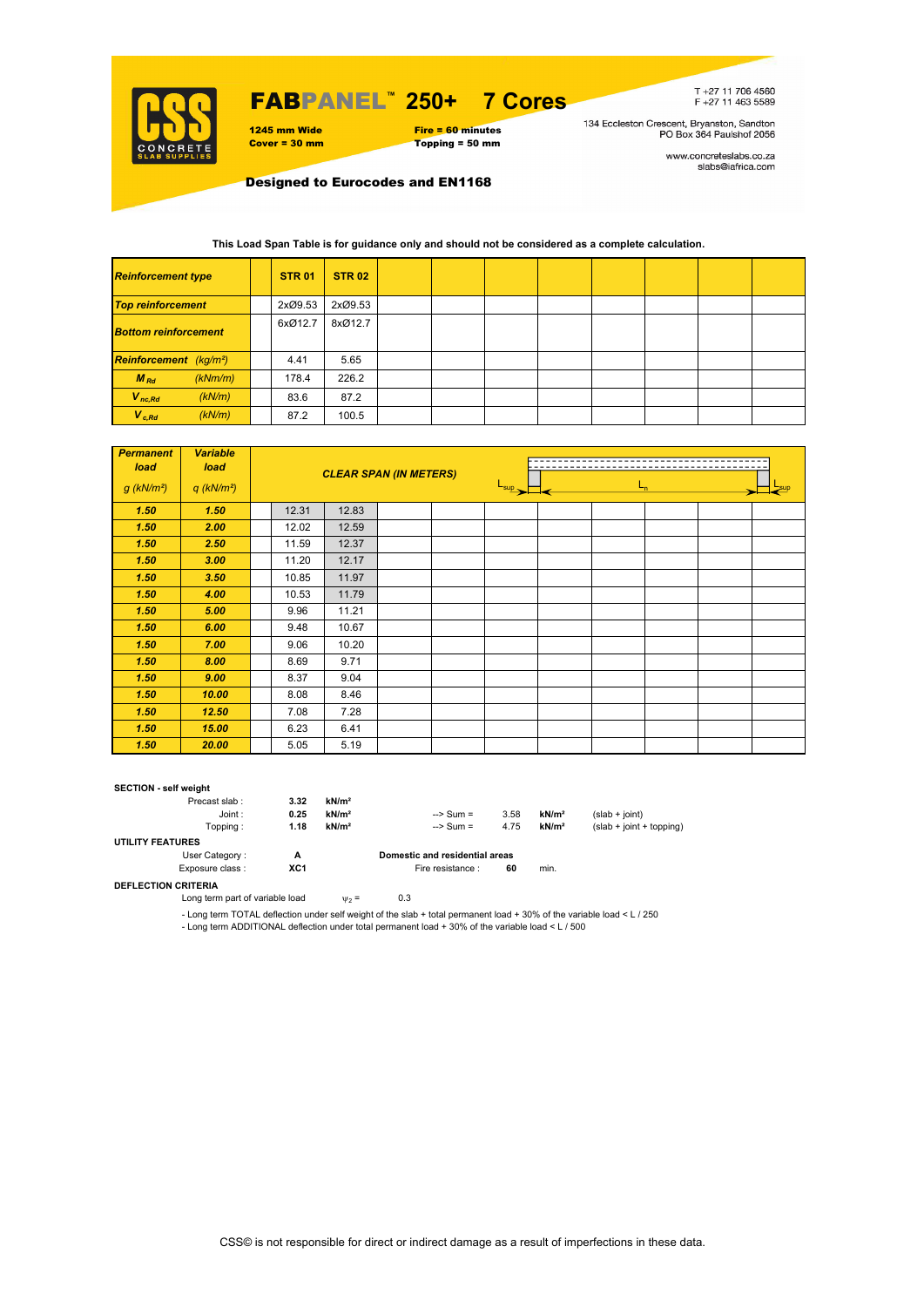

## FABPANEL**™ 250+ 7 Cores**

1245 mm Wide Fire = 60 minutes<br>
Cover = 30 mm Topping = 50 mm Topping = 50 mm

T+27 11 706 4560<br>F+27 11 463 5589

134 Eccleston Crescent, Bryanston, Sandton<br>PO Box 364 Paulshof 2056

www.concreteslabs.co.za<br>slabs@iafrica.com

Designed to Eurocodes and EN1168

#### **This Load Span Table is for guidance only and should not be considered as a complete calculation.**

| <b>Reinforcement type</b>                 | <b>STR 01</b> | <b>STR 02</b> |  |  |  |  |
|-------------------------------------------|---------------|---------------|--|--|--|--|
| <b>Top reinforcement</b>                  | 2xØ9.53       | 2xØ9.53       |  |  |  |  |
| <b>Bottom reinforcement</b>               | 6xØ12.7       | 8xØ12.7       |  |  |  |  |
| <b>Reinforcement</b> (kg/m <sup>2</sup> ) | 4.41          | 5.65          |  |  |  |  |
| $M_{Rd}$<br>(kNm/m)                       | 178.4         | 226.2         |  |  |  |  |
| $V_{nc,Rd}$<br>(kN/m)                     | 83.6          | 87.2          |  |  |  |  |
| $V_{c, Rd}$<br>(kN/m)                     | 87.2          | 100.5         |  |  |  |  |

| <b>Permanent</b><br>load | <b>Variable</b><br>load  |       | <b>CLEAR SPAN (IN METERS)</b> |  |                  |         |  |  |
|--------------------------|--------------------------|-------|-------------------------------|--|------------------|---------|--|--|
| $g$ (kN/m <sup>2</sup> ) | $q$ (kN/m <sup>2</sup> ) |       |                               |  | $L_{\text{sup}}$ | $L_{n}$ |  |  |
| 1.50                     | 1.50                     | 12.31 | 12.83                         |  |                  |         |  |  |
| 1.50                     | 2.00                     | 12.02 | 12.59                         |  |                  |         |  |  |
| 1.50                     | 2.50                     | 11.59 | 12.37                         |  |                  |         |  |  |
| 1.50                     | 3.00                     | 11.20 | 12.17                         |  |                  |         |  |  |
| 1.50                     | 3.50                     | 10.85 | 11.97                         |  |                  |         |  |  |
| 1.50                     | 4.00                     | 10.53 | 11.79                         |  |                  |         |  |  |
| 1.50                     | 5.00                     | 9.96  | 11.21                         |  |                  |         |  |  |
| 1.50                     | 6.00                     | 9.48  | 10.67                         |  |                  |         |  |  |
| 1.50                     | 7.00                     | 9.06  | 10.20                         |  |                  |         |  |  |
| 1.50                     | 8.00                     | 8.69  | 9.71                          |  |                  |         |  |  |
| 1.50                     | 9.00                     | 8.37  | 9.04                          |  |                  |         |  |  |
| 1.50                     | 10.00                    | 8.08  | 8.46                          |  |                  |         |  |  |
| 1.50                     | 12.50                    | 7.08  | 7.28                          |  |                  |         |  |  |
| 1.50                     | 15.00                    | 6.23  | 6.41                          |  |                  |         |  |  |
| 1.50                     | 20.00                    | 5.05  | 5.19                          |  |                  |         |  |  |

#### **SECTION - self weight**

| Precast slab:           | 3.32 | kN/m <sup>2</sup> |                                |      |                   |                            |
|-------------------------|------|-------------------|--------------------------------|------|-------------------|----------------------------|
| Joint:                  | 0.25 | kN/m <sup>2</sup> | $\Rightarrow$ Sum =            | 3.58 | kN/m <sup>2</sup> | $(slab + joint)$           |
| Topping:                | 1.18 | kN/m <sup>2</sup> | $\Rightarrow$ Sum =            | 4.75 | kN/m <sup>2</sup> | $(slab + joint + topping)$ |
| <b>UTILITY FEATURES</b> |      |                   |                                |      |                   |                            |
| User Category:          | А    |                   | Domestic and residential areas |      |                   |                            |
| Exposure class:         | XC1  |                   | Fire resistance :              | 60   | min.              |                            |
|                         |      |                   |                                |      |                   |                            |

**DEFLECTION CRITERIA**

Long term part of variable load  $v_2 = 0.3$ 

- Long term TOTAL deflection under self weight of the slab + total permanent load + 30% of the variable load < L / 250 - Long term ADDITIONAL deflection under total permanent load + 30% of the variable load < L / 500